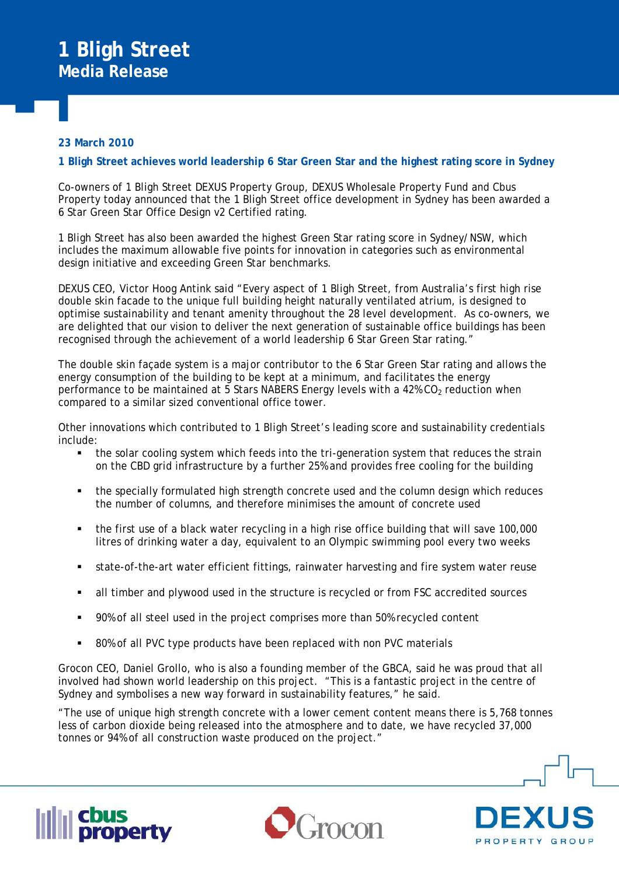## **23 March 2010**

## **1 Bligh Street achieves world leadership 6 Star Green Star and the highest rating score in Sydney**

Co-owners of 1 Bligh Street DEXUS Property Group, DEXUS Wholesale Property Fund and Cbus Property today announced that the 1 Bligh Street office development in Sydney has been awarded a 6 Star Green Star Office Design v2 Certified rating.

1 Bligh Street has also been awarded the highest Green Star rating score in Sydney/NSW, which includes the maximum allowable five points for innovation in categories such as environmental design initiative and exceeding Green Star benchmarks.

DEXUS CEO, Victor Hoog Antink said "Every aspect of 1 Bligh Street, from Australia's first high rise double skin facade to the unique full building height naturally ventilated atrium, is designed to optimise sustainability and tenant amenity throughout the 28 level development. As co-owners, we are delighted that our vision to deliver the next generation of sustainable office buildings has been recognised through the achievement of a world leadership 6 Star Green Star rating."

The double skin façade system is a major contributor to the 6 Star Green Star rating and allows the energy consumption of the building to be kept at a minimum, and facilitates the energy performance to be maintained at 5 Stars NABERS Energy levels with a 42%  $CO<sub>2</sub>$  reduction when compared to a similar sized conventional office tower.

Other innovations which contributed to 1 Bligh Street's leading score and sustainability credentials include:

- the solar cooling system which feeds into the tri-generation system that reduces the strain on the CBD grid infrastructure by a further 25% and provides free cooling for the building
- the specially formulated high strength concrete used and the column design which reduces the number of columns, and therefore minimises the amount of concrete used
- the first use of a black water recycling in a high rise office building that will save 100,000 litres of drinking water a day, equivalent to an Olympic swimming pool every two weeks
- state-of-the-art water efficient fittings, rainwater harvesting and fire system water reuse
- all timber and plywood used in the structure is recycled or from FSC accredited sources
- 90% of all steel used in the project comprises more than 50% recycled content
- 80% of all PVC type products have been replaced with non PVC materials

Grocon CEO, Daniel Grollo, who is also a founding member of the GBCA, said he was proud that all involved had shown world leadership on this project. "This is a fantastic project in the centre of Sydney and symbolises a new way forward in sustainability features," he said.

"The use of unique high strength concrete with a lower cement content means there is 5,768 tonnes less of carbon dioxide being released into the atmosphere and to date, we have recycled 37,000 tonnes or 94% of all construction waste produced on the project."